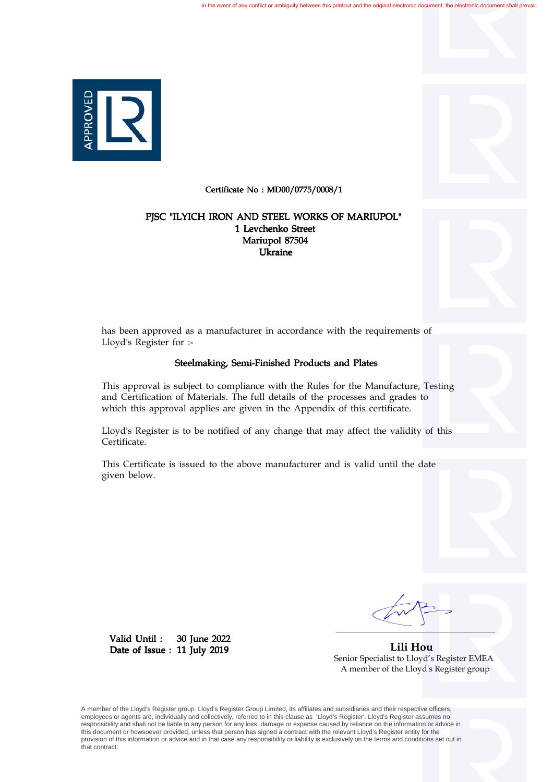

Certificate No : MD00/0775/0008/1

## Mariupol 87504 Ukraine 1 Levchenko Street PJSC "ILYICH IRON AND STEEL WORKS OF MARIUPOL"



has been approved as a manufacturer in accordance with the requirements of Lloyd's Register for :-

## Steelmaking, Semi-Finished Products and Plates

This approval is subject to compliance with the Rules for the Manufacture, Testing and Certification of Materials. The full details of the processes and grades to which this approval applies are given in the Appendix of this certificate.

Lloyd's Register is to be notified of any change that may affect the validity of this Certificate.

This Certificate is issued to the above manufacturer and is valid until the date given below.

 **Lili Hou** Senior Specialist to Lloyd's Register EMEA A member of the Lloyd's Register group

A member of the Lloyd's Register group. Lloyd's Register Group Limited, its affiliates and subsidiaries and their respective officers, employees or agents are, individually and collectively, referred to in this clause as 'Lloyd's Register'. Lloyd's Register assumes no responsibility and shall not be liable to any person for any loss, damage or expense caused by reliance on the information or advice in this document or howsoever provided, unless that person has signed a contract with the relevant Lloyd's Register entity for the provision of this information or advice and in that case any responsibility or liability is exclusively on the terms and conditions set out in that contract.

30 June 2022

Date of Issue: 11 July 2019

Valid Until :